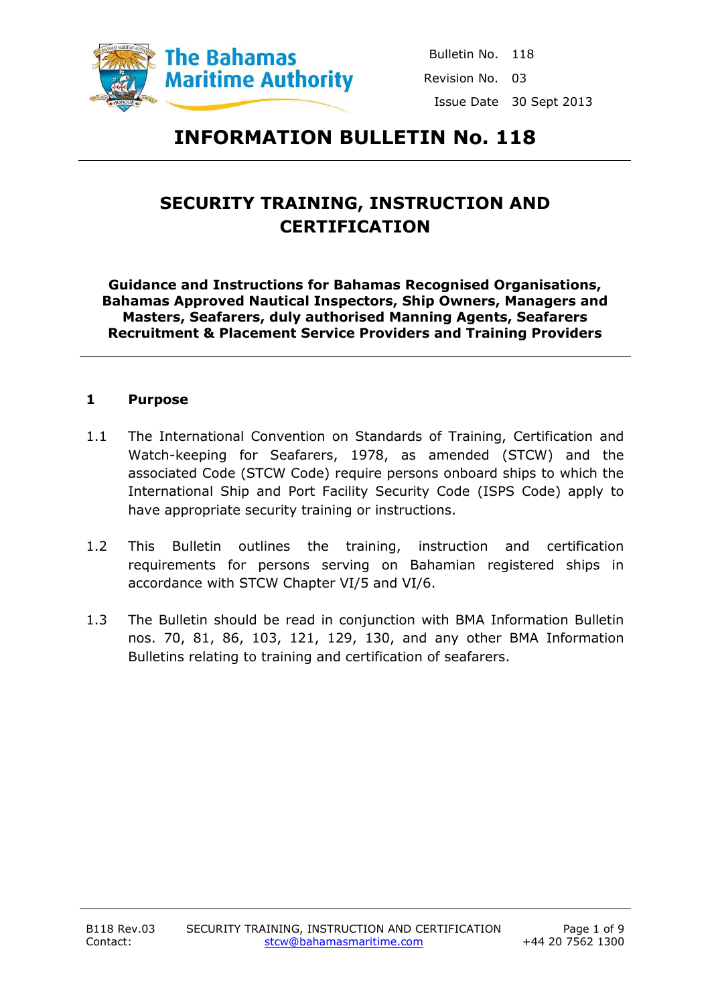

Bulletin No. 118 Revision No. 03 Issue Date 30 Sept 2013

# **INFORMATION BULLETIN No. 118**

# **SECURITY TRAINING, INSTRUCTION AND CERTIFICATION**

**Guidance and Instructions for Bahamas Recognised Organisations, Bahamas Approved Nautical Inspectors, Ship Owners, Managers and Masters, Seafarers, duly authorised Manning Agents, Seafarers Recruitment & Placement Service Providers and Training Providers**

#### **1 Purpose**

- 1.1 The International Convention on Standards of Training, Certification and Watch-keeping for Seafarers, 1978, as amended (STCW) and the associated Code (STCW Code) require persons onboard ships to which the International Ship and Port Facility Security Code (ISPS Code) apply to have appropriate security training or instructions.
- 1.2 This Bulletin outlines the training, instruction and certification requirements for persons serving on Bahamian registered ships in accordance with STCW Chapter VI/5 and VI/6.
- 1.3 The Bulletin should be read in conjunction with BMA Information Bulletin nos. 70, 81, 86, 103, 121, 129, 130, and any other BMA Information Bulletins relating to training and certification of seafarers.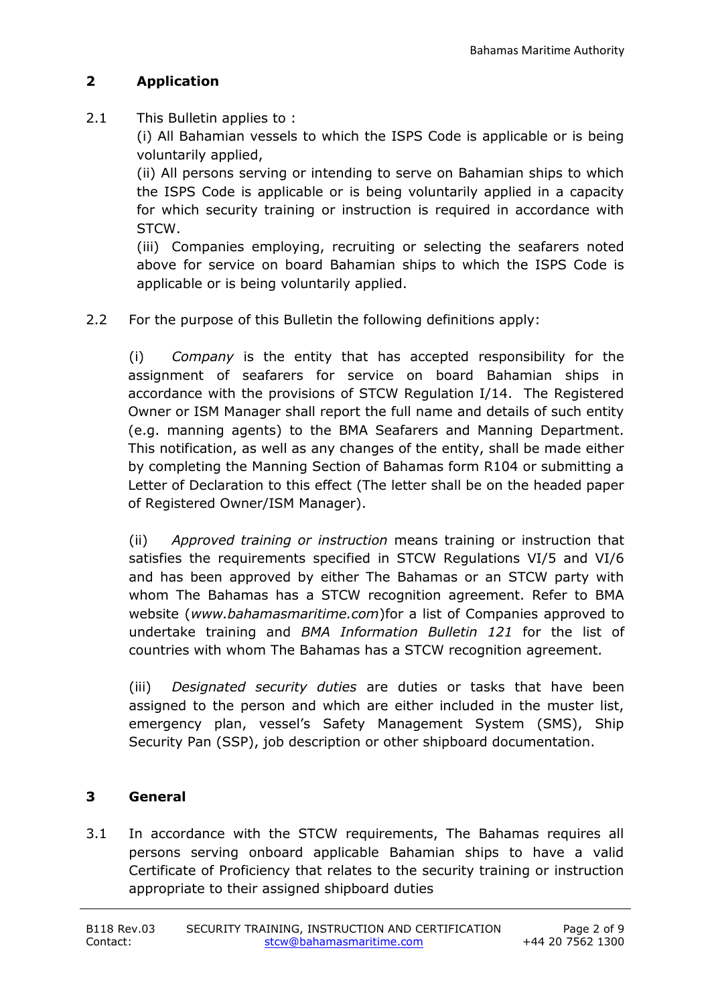## **2 Application**

2.1 This Bulletin applies to :

(i) All Bahamian vessels to which the ISPS Code is applicable or is being voluntarily applied,

(ii) All persons serving or intending to serve on Bahamian ships to which the ISPS Code is applicable or is being voluntarily applied in a capacity for which security training or instruction is required in accordance with STCW.

(iii) Companies employing, recruiting or selecting the seafarers noted above for service on board Bahamian ships to which the ISPS Code is applicable or is being voluntarily applied.

2.2 For the purpose of this Bulletin the following definitions apply:

(i) *Company* is the entity that has accepted responsibility for the assignment of seafarers for service on board Bahamian ships in accordance with the provisions of STCW Regulation I/14. The Registered Owner or ISM Manager shall report the full name and details of such entity (e.g. manning agents) to the BMA Seafarers and Manning Department. This notification, as well as any changes of the entity, shall be made either by completing the Manning Section of Bahamas form R104 or submitting a Letter of Declaration to this effect (The letter shall be on the headed paper of Registered Owner/ISM Manager).

(ii) *Approved training or instruction* means training or instruction that satisfies the requirements specified in STCW Regulations VI/5 and VI/6 and has been approved by either The Bahamas or an STCW party with whom The Bahamas has a STCW recognition agreement. Refer to BMA website (*www.bahamasmaritime.com*)for a list of Companies approved to undertake training and *BMA Information Bulletin 121* for the list of countries with whom The Bahamas has a STCW recognition agreement*.*

(iii) *Designated security duties* are duties or tasks that have been assigned to the person and which are either included in the muster list, emergency plan, vessel's Safety Management System (SMS), Ship Security Pan (SSP), job description or other shipboard documentation.

## **3 General**

3.1 In accordance with the STCW requirements, The Bahamas requires all persons serving onboard applicable Bahamian ships to have a valid Certificate of Proficiency that relates to the security training or instruction appropriate to their assigned shipboard duties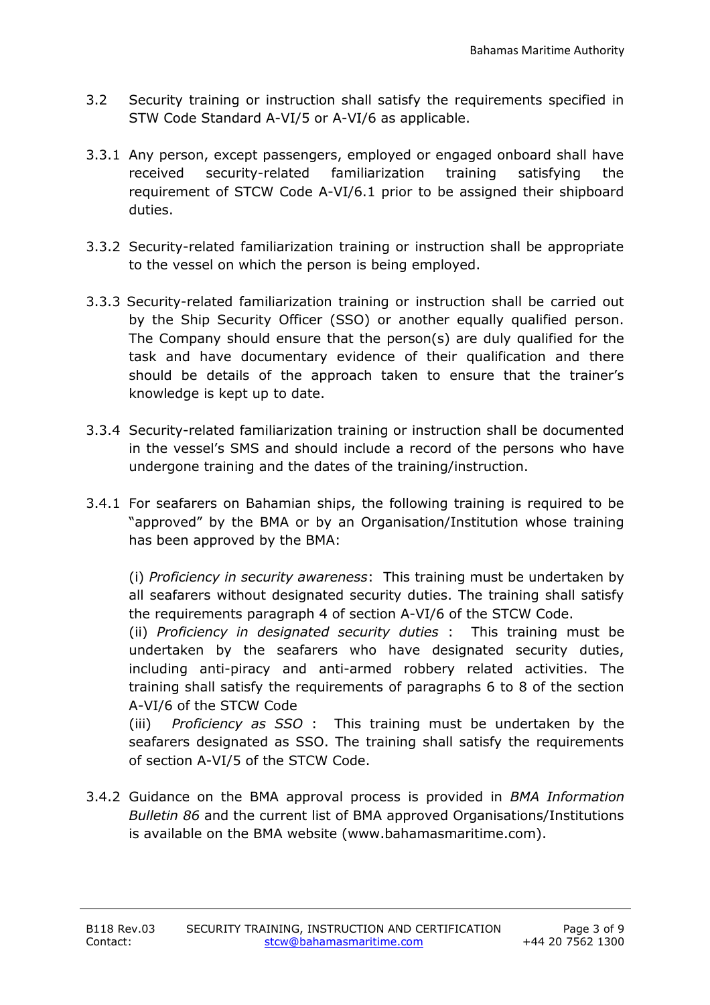- 3.2 Security training or instruction shall satisfy the requirements specified in STW Code Standard A-VI/5 or A-VI/6 as applicable.
- 3.3.1 Any person, except passengers, employed or engaged onboard shall have received security-related familiarization training satisfying the requirement of STCW Code A-VI/6.1 prior to be assigned their shipboard duties.
- 3.3.2 Security-related familiarization training or instruction shall be appropriate to the vessel on which the person is being employed.
- 3.3.3 Security-related familiarization training or instruction shall be carried out by the Ship Security Officer (SSO) or another equally qualified person. The Company should ensure that the person(s) are duly qualified for the task and have documentary evidence of their qualification and there should be details of the approach taken to ensure that the trainer's knowledge is kept up to date.
- 3.3.4 Security-related familiarization training or instruction shall be documented in the vessel's SMS and should include a record of the persons who have undergone training and the dates of the training/instruction.
- 3.4.1 For seafarers on Bahamian ships, the following training is required to be "approved" by the BMA or by an Organisation/Institution whose training has been approved by the BMA:

(i) *Proficiency in security awareness*: This training must be undertaken by all seafarers without designated security duties. The training shall satisfy the requirements paragraph 4 of section A-VI/6 of the STCW Code.

(ii) *Proficiency in designated security duties* : This training must be undertaken by the seafarers who have designated security duties, including anti-piracy and anti-armed robbery related activities. The training shall satisfy the requirements of paragraphs 6 to 8 of the section A-VI/6 of the STCW Code

(iii) *Proficiency as SSO* : This training must be undertaken by the seafarers designated as SSO. The training shall satisfy the requirements of section A-VI/5 of the STCW Code.

3.4.2 Guidance on the BMA approval process is provided in *BMA Information Bulletin 86* and the current list of BMA approved Organisations/Institutions is available on the BMA website (www.bahamasmaritime.com).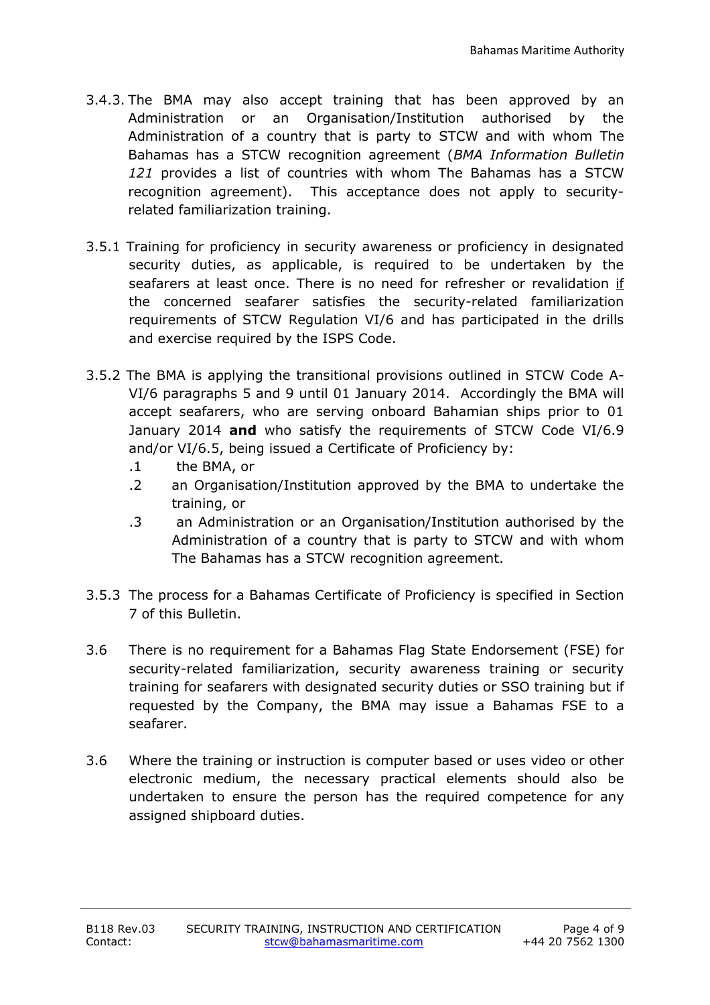- 3.4.3. The BMA may also accept training that has been approved by an Administration or an Organisation/Institution authorised by the Administration of a country that is party to STCW and with whom The Bahamas has a STCW recognition agreement (*BMA Information Bulletin 121* provides a list of countries with whom The Bahamas has a STCW recognition agreement). This acceptance does not apply to securityrelated familiarization training.
- 3.5.1 Training for proficiency in security awareness or proficiency in designated security duties, as applicable, is required to be undertaken by the seafarers at least once. There is no need for refresher or revalidation if the concerned seafarer satisfies the security-related familiarization requirements of STCW Regulation VI/6 and has participated in the drills and exercise required by the ISPS Code.
- 3.5.2 The BMA is applying the transitional provisions outlined in STCW Code A-VI/6 paragraphs 5 and 9 until 01 January 2014. Accordingly the BMA will accept seafarers, who are serving onboard Bahamian ships prior to 01 January 2014 **and** who satisfy the requirements of STCW Code VI/6.9 and/or VI/6.5, being issued a Certificate of Proficiency by:
	- .1 the BMA, or
	- .2 an Organisation/Institution approved by the BMA to undertake the training, or
	- .3 an Administration or an Organisation/Institution authorised by the Administration of a country that is party to STCW and with whom The Bahamas has a STCW recognition agreement.
- 3.5.3 The process for a Bahamas Certificate of Proficiency is specified in Section 7 of this Bulletin.
- 3.6 There is no requirement for a Bahamas Flag State Endorsement (FSE) for security-related familiarization, security awareness training or security training for seafarers with designated security duties or SSO training but if requested by the Company, the BMA may issue a Bahamas FSE to a seafarer.
- 3.6 Where the training or instruction is computer based or uses video or other electronic medium, the necessary practical elements should also be undertaken to ensure the person has the required competence for any assigned shipboard duties.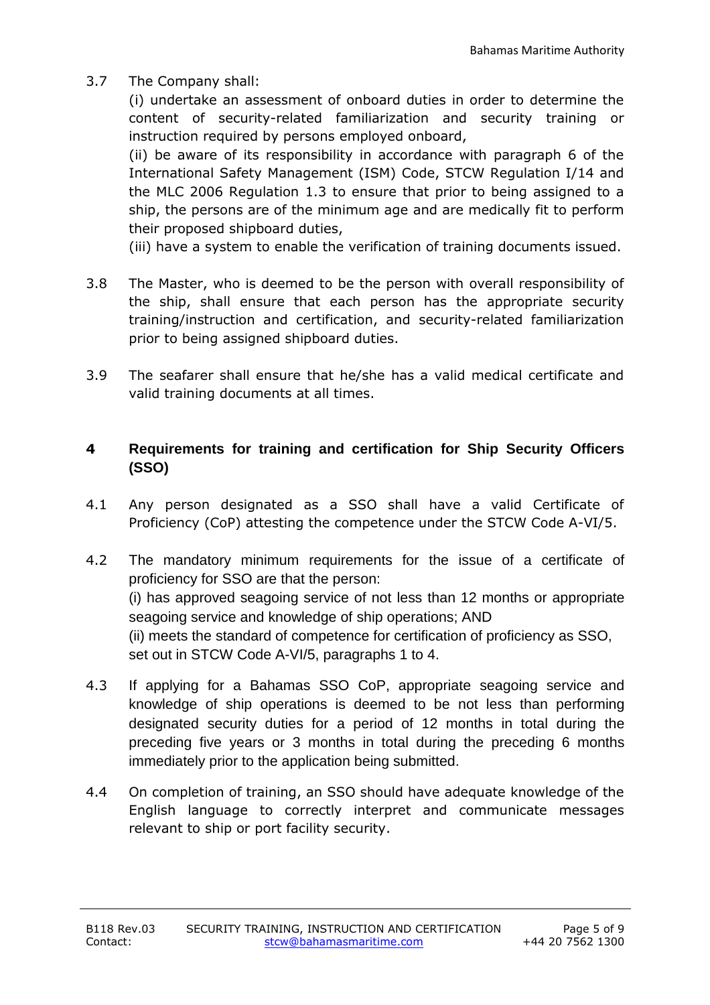3.7 The Company shall:

(i) undertake an assessment of onboard duties in order to determine the content of security-related familiarization and security training or instruction required by persons employed onboard,

(ii) be aware of its responsibility in accordance with paragraph 6 of the International Safety Management (ISM) Code, STCW Regulation I/14 and the MLC 2006 Regulation 1.3 to ensure that prior to being assigned to a ship, the persons are of the minimum age and are medically fit to perform their proposed shipboard duties,

(iii) have a system to enable the verification of training documents issued.

- 3.8 The Master, who is deemed to be the person with overall responsibility of the ship, shall ensure that each person has the appropriate security training/instruction and certification, and security-related familiarization prior to being assigned shipboard duties.
- 3.9 The seafarer shall ensure that he/she has a valid medical certificate and valid training documents at all times.

# **4 Requirements for training and certification for Ship Security Officers (SSO)**

- 4.1 Any person designated as a SSO shall have a valid Certificate of Proficiency (CoP) attesting the competence under the STCW Code A-VI/5.
- 4.2 The mandatory minimum requirements for the issue of a certificate of proficiency for SSO are that the person: (i) has approved seagoing service of not less than 12 months or appropriate seagoing service and knowledge of ship operations; AND (ii) meets the standard of competence for certification of proficiency as SSO, set out in STCW Code A-VI/5, paragraphs 1 to 4.
- 4.3 If applying for a Bahamas SSO CoP, appropriate seagoing service and knowledge of ship operations is deemed to be not less than performing designated security duties for a period of 12 months in total during the preceding five years or 3 months in total during the preceding 6 months immediately prior to the application being submitted.
- 4.4 On completion of training, an SSO should have adequate knowledge of the English language to correctly interpret and communicate messages relevant to ship or port facility security.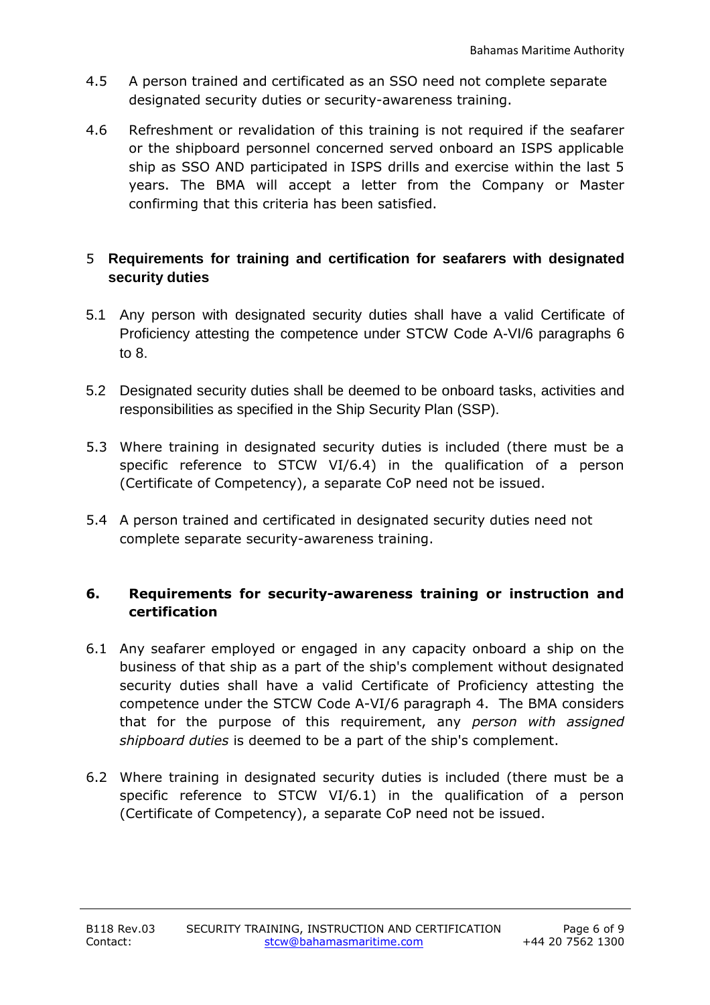- 4.5 A person trained and certificated as an SSO need not complete separate designated security duties or security-awareness training.
- 4.6 Refreshment or revalidation of this training is not required if the seafarer or the shipboard personnel concerned served onboard an ISPS applicable ship as SSO AND participated in ISPS drills and exercise within the last 5 years. The BMA will accept a letter from the Company or Master confirming that this criteria has been satisfied.

## 5 **Requirements for training and certification for seafarers with designated security duties**

- 5.1 Any person with designated security duties shall have a valid Certificate of Proficiency attesting the competence under STCW Code A-VI/6 paragraphs 6 to 8.
- 5.2 Designated security duties shall be deemed to be onboard tasks, activities and responsibilities as specified in the Ship Security Plan (SSP).
- 5.3 Where training in designated security duties is included (there must be a specific reference to STCW VI/6.4) in the qualification of a person (Certificate of Competency), a separate CoP need not be issued.
- 5.4 A person trained and certificated in designated security duties need not complete separate security-awareness training.

### **6. Requirements for security-awareness training or instruction and certification**

- 6.1 Any seafarer employed or engaged in any capacity onboard a ship on the business of that ship as a part of the ship's complement without designated security duties shall have a valid Certificate of Proficiency attesting the competence under the STCW Code A-VI/6 paragraph 4. The BMA considers that for the purpose of this requirement, any *person with assigned shipboard duties* is deemed to be a part of the ship's complement.
- 6.2 Where training in designated security duties is included (there must be a specific reference to STCW VI/6.1) in the qualification of a person (Certificate of Competency), a separate CoP need not be issued.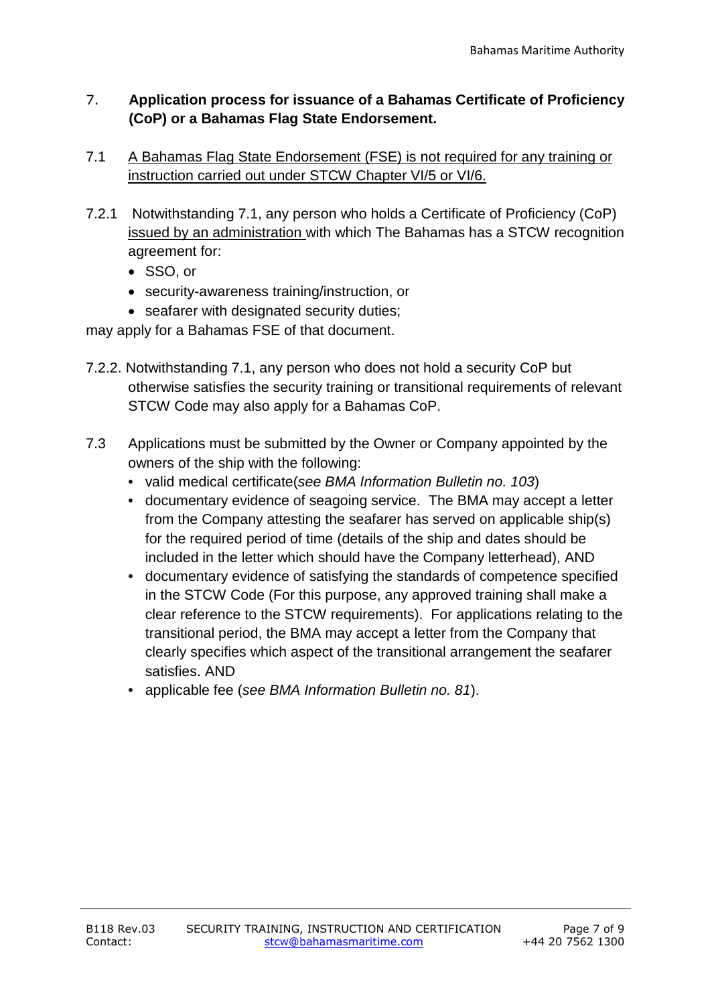## 7. **Application process for issuance of a Bahamas Certificate of Proficiency (CoP) or a Bahamas Flag State Endorsement.**

- 7.1 A Bahamas Flag State Endorsement (FSE) is not required for any training or instruction carried out under STCW Chapter VI/5 or VI/6.
- 7.2.1 Notwithstanding 7.1, any person who holds a Certificate of Proficiency (CoP) issued by an administration with which The Bahamas has a STCW recognition agreement for:
	- SSO, or
	- security-awareness training/instruction, or
	- seafarer with designated security duties;

may apply for a Bahamas FSE of that document.

- 7.2.2. Notwithstanding 7.1, any person who does not hold a security CoP but otherwise satisfies the security training or transitional requirements of relevant STCW Code may also apply for a Bahamas CoP.
- 7.3 Applications must be submitted by the Owner or Company appointed by the owners of the ship with the following:
	- valid medical certificate(*see BMA Information Bulletin no. 103*)
	- documentary evidence of seagoing service. The BMA may accept a letter from the Company attesting the seafarer has served on applicable ship(s) for the required period of time (details of the ship and dates should be included in the letter which should have the Company letterhead), AND
	- documentary evidence of satisfying the standards of competence specified in the STCW Code (For this purpose, any approved training shall make a clear reference to the STCW requirements). For applications relating to the transitional period, the BMA may accept a letter from the Company that clearly specifies which aspect of the transitional arrangement the seafarer satisfies. AND
	- applicable fee (*see BMA Information Bulletin no. 81*).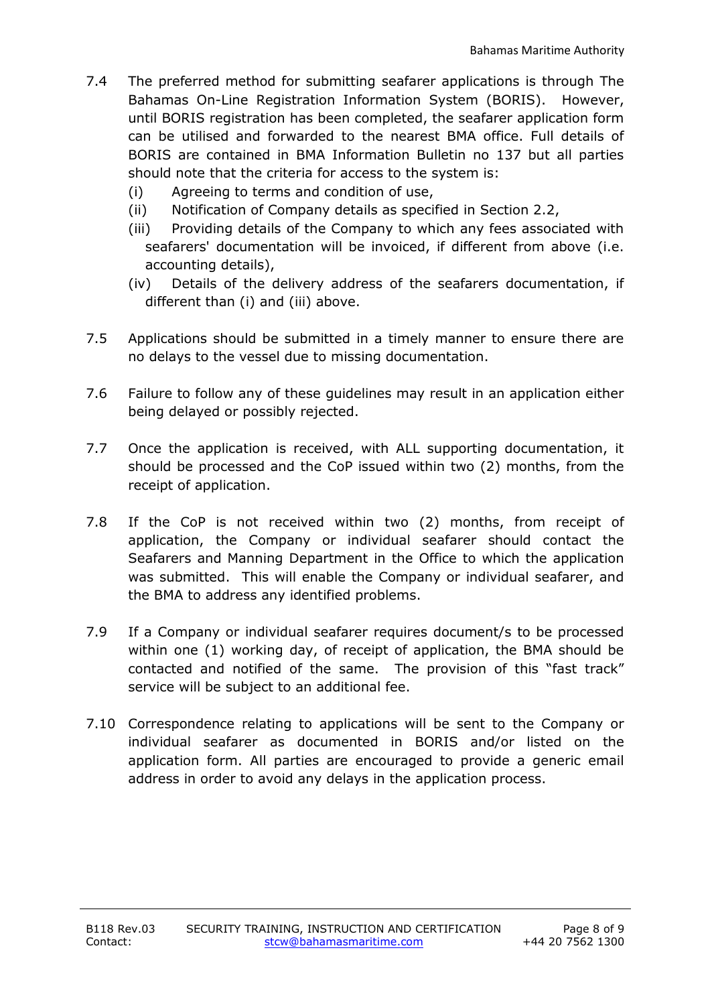- 7.4 The preferred method for submitting seafarer applications is through The Bahamas On-Line Registration Information System (BORIS). However, until BORIS registration has been completed, the seafarer application form can be utilised and forwarded to the nearest BMA office. Full details of BORIS are contained in BMA Information Bulletin no 137 but all parties should note that the criteria for access to the system is:
	- (i) Agreeing to terms and condition of use,
	- (ii) Notification of Company details as specified in Section 2.2,
	- (iii) Providing details of the Company to which any fees associated with seafarers' documentation will be invoiced, if different from above (i.e. accounting details),
	- (iv) Details of the delivery address of the seafarers documentation, if different than (i) and (iii) above.
- 7.5 Applications should be submitted in a timely manner to ensure there are no delays to the vessel due to missing documentation.
- 7.6 Failure to follow any of these guidelines may result in an application either being delayed or possibly rejected.
- 7.7 Once the application is received, with ALL supporting documentation, it should be processed and the CoP issued within two (2) months, from the receipt of application.
- 7.8 If the CoP is not received within two (2) months, from receipt of application, the Company or individual seafarer should contact the Seafarers and Manning Department in the Office to which the application was submitted. This will enable the Company or individual seafarer, and the BMA to address any identified problems.
- 7.9 If a Company or individual seafarer requires document/s to be processed within one (1) working day, of receipt of application, the BMA should be contacted and notified of the same. The provision of this "fast track" service will be subject to an additional fee.
- 7.10 Correspondence relating to applications will be sent to the Company or individual seafarer as documented in BORIS and/or listed on the application form. All parties are encouraged to provide a generic email address in order to avoid any delays in the application process.